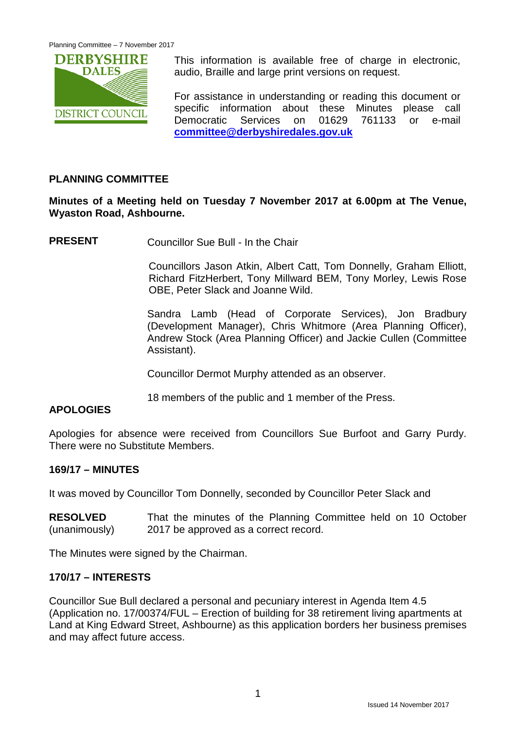

This information is available free of charge in electronic, audio, Braille and large print versions on request.

For assistance in understanding or reading this document or specific information about these Minutes please call Democratic Services on 01629 761133 or e-mail **[committee@derbyshiredales.gov.uk](mailto:committee@derbyshiredales.gov.uk)**

# **PLANNING COMMITTEE**

## **Minutes of a Meeting held on Tuesday 7 November 2017 at 6.00pm at The Venue, Wyaston Road, Ashbourne.**

**PRESENT** Councillor Sue Bull - In the Chair

Councillors Jason Atkin, Albert Catt, Tom Donnelly, Graham Elliott, Richard FitzHerbert, Tony Millward BEM, Tony Morley, Lewis Rose OBE, Peter Slack and Joanne Wild.

Sandra Lamb (Head of Corporate Services), Jon Bradbury (Development Manager), Chris Whitmore (Area Planning Officer), Andrew Stock (Area Planning Officer) and Jackie Cullen (Committee Assistant).

Councillor Dermot Murphy attended as an observer.

18 members of the public and 1 member of the Press.

# **APOLOGIES**

Apologies for absence were received from Councillors Sue Burfoot and Garry Purdy. There were no Substitute Members.

# **169/17 – MINUTES**

It was moved by Councillor Tom Donnelly, seconded by Councillor Peter Slack and

**RESOLVED** (unanimously) That the minutes of the Planning Committee held on 10 October 2017 be approved as a correct record.

The Minutes were signed by the Chairman.

# **170/17 – INTERESTS**

Councillor Sue Bull declared a personal and pecuniary interest in Agenda Item 4.5 (Application no. 17/00374/FUL – Erection of building for 38 retirement living apartments at Land at King Edward Street, Ashbourne) as this application borders her business premises and may affect future access.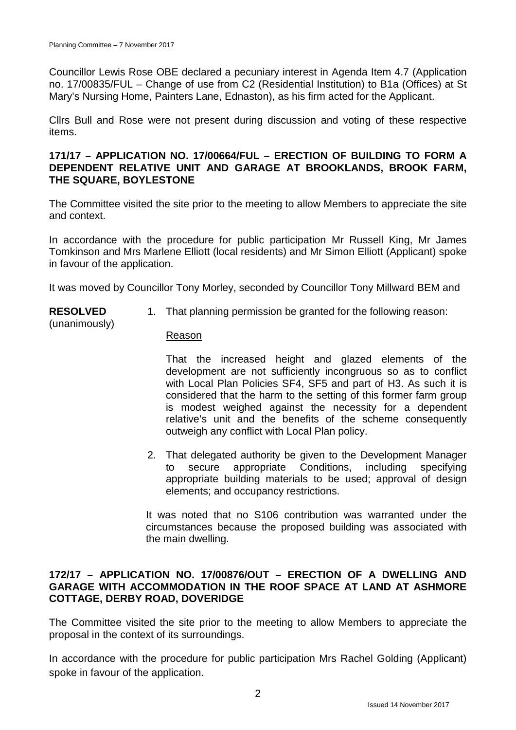(unanimously)

Councillor Lewis Rose OBE declared a pecuniary interest in Agenda Item 4.7 (Application no. 17/00835/FUL – Change of use from C2 (Residential Institution) to B1a (Offices) at St Mary's Nursing Home, Painters Lane, Ednaston), as his firm acted for the Applicant.

Cllrs Bull and Rose were not present during discussion and voting of these respective items.

#### **171/17 – APPLICATION NO. 17/00664/FUL – ERECTION OF BUILDING TO FORM A DEPENDENT RELATIVE UNIT AND GARAGE AT BROOKLANDS, BROOK FARM, THE SQUARE, BOYLESTONE**

The Committee visited the site prior to the meeting to allow Members to appreciate the site and context.

In accordance with the procedure for public participation Mr Russell King, Mr James Tomkinson and Mrs Marlene Elliott (local residents) and Mr Simon Elliott (Applicant) spoke in favour of the application.

It was moved by Councillor Tony Morley, seconded by Councillor Tony Millward BEM and

**RESOLVED** 1. That planning permission be granted for the following reason:

## Reason

That the increased height and glazed elements of the development are not sufficiently incongruous so as to conflict with Local Plan Policies SF4, SF5 and part of H3. As such it is considered that the harm to the setting of this former farm group is modest weighed against the necessity for a dependent relative's unit and the benefits of the scheme consequently outweigh any conflict with Local Plan policy.

2. That delegated authority be given to the Development Manager to secure appropriate Conditions, including specifying appropriate building materials to be used; approval of design elements; and occupancy restrictions.

It was noted that no S106 contribution was warranted under the circumstances because the proposed building was associated with the main dwelling.

## **172/17 – APPLICATION NO. 17/00876/OUT – ERECTION OF A DWELLING AND GARAGE WITH ACCOMMODATION IN THE ROOF SPACE AT LAND AT ASHMORE COTTAGE, DERBY ROAD, DOVERIDGE**

The Committee visited the site prior to the meeting to allow Members to appreciate the proposal in the context of its surroundings.

In accordance with the procedure for public participation Mrs Rachel Golding (Applicant) spoke in favour of the application.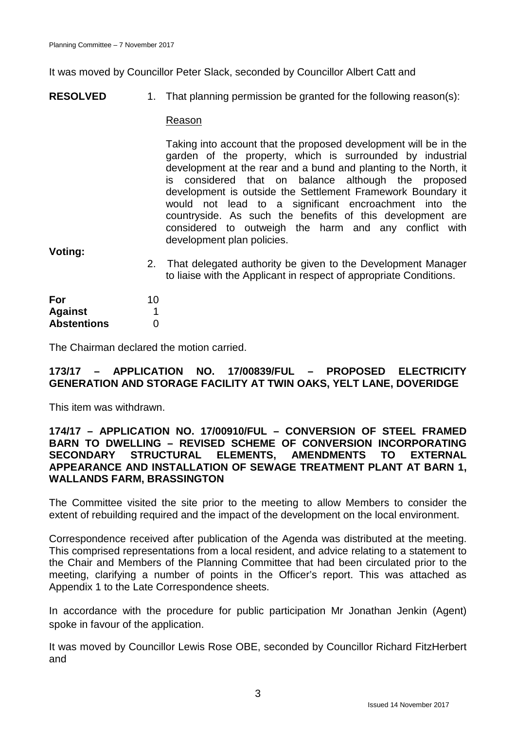It was moved by Councillor Peter Slack, seconded by Councillor Albert Catt and

**RESOLVED** 1. That planning permission be granted for the following reason(s):

#### Reason

Taking into account that the proposed development will be in the garden of the property, which is surrounded by industrial development at the rear and a bund and planting to the North, it is considered that on balance although the proposed development is outside the Settlement Framework Boundary it would not lead to a significant encroachment into the countryside. As such the benefits of this development are considered to outweigh the harm and any conflict with development plan policies.

**Voting:**

2. That delegated authority be given to the Development Manager to liaise with the Applicant in respect of appropriate Conditions.

| For                | 10 |
|--------------------|----|
| <b>Against</b>     |    |
| <b>Abstentions</b> | O  |

The Chairman declared the motion carried.

## **173/17 – APPLICATION NO. 17/00839/FUL – PROPOSED ELECTRICITY GENERATION AND STORAGE FACILITY AT TWIN OAKS, YELT LANE, DOVERIDGE**

This item was withdrawn.

## **174/17 – APPLICATION NO. 17/00910/FUL – CONVERSION OF STEEL FRAMED BARN TO DWELLING – REVISED SCHEME OF CONVERSION INCORPORATING SECONDARY STRUCTURAL ELEMENTS, AMENDMENTS TO EXTERNAL APPEARANCE AND INSTALLATION OF SEWAGE TREATMENT PLANT AT BARN 1, WALLANDS FARM, BRASSINGTON**

The Committee visited the site prior to the meeting to allow Members to consider the extent of rebuilding required and the impact of the development on the local environment.

Correspondence received after publication of the Agenda was distributed at the meeting. This comprised representations from a local resident, and advice relating to a statement to the Chair and Members of the Planning Committee that had been circulated prior to the meeting, clarifying a number of points in the Officer's report. This was attached as Appendix 1 to the Late Correspondence sheets.

In accordance with the procedure for public participation Mr Jonathan Jenkin (Agent) spoke in favour of the application.

It was moved by Councillor Lewis Rose OBE, seconded by Councillor Richard FitzHerbert and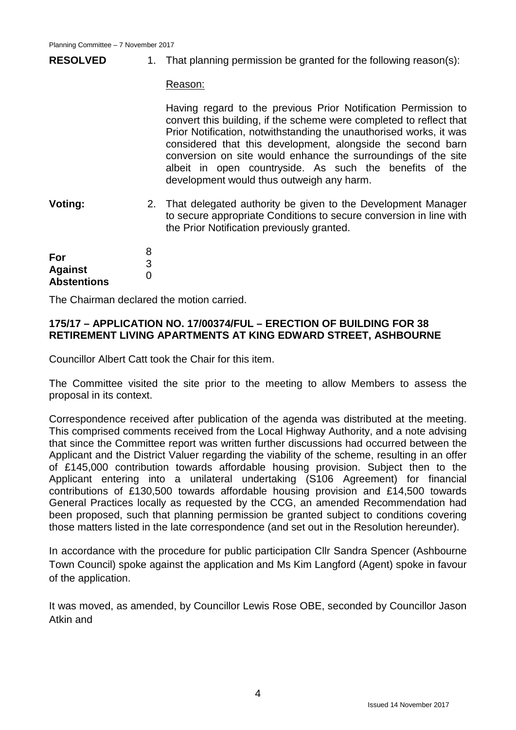#### **RESOLVED** 1. That planning permission be granted for the following reason(s):

Reason:

Having regard to the previous Prior Notification Permission to convert this building, if the scheme were completed to reflect that Prior Notification, notwithstanding the unauthorised works, it was considered that this development, alongside the second barn conversion on site would enhance the surroundings of the site albeit in open countryside. As such the benefits of the development would thus outweigh any harm.

**Voting:** 2. That delegated authority be given to the Development Manager to secure appropriate Conditions to secure conversion in line with the Prior Notification previously granted.

| For                | 8 |
|--------------------|---|
|                    | 3 |
| <b>Against</b>     | O |
| <b>Abstentions</b> |   |

The Chairman declared the motion carried.

## **175/17 – APPLICATION NO. 17/00374/FUL – ERECTION OF BUILDING FOR 38 RETIREMENT LIVING APARTMENTS AT KING EDWARD STREET, ASHBOURNE**

Councillor Albert Catt took the Chair for this item.

The Committee visited the site prior to the meeting to allow Members to assess the proposal in its context.

Correspondence received after publication of the agenda was distributed at the meeting. This comprised comments received from the Local Highway Authority, and a note advising that since the Committee report was written further discussions had occurred between the Applicant and the District Valuer regarding the viability of the scheme, resulting in an offer of £145,000 contribution towards affordable housing provision. Subject then to the Applicant entering into a unilateral undertaking (S106 Agreement) for financial contributions of £130,500 towards affordable housing provision and £14,500 towards General Practices locally as requested by the CCG, an amended Recommendation had been proposed, such that planning permission be granted subject to conditions covering those matters listed in the late correspondence (and set out in the Resolution hereunder).

In accordance with the procedure for public participation Cllr Sandra Spencer (Ashbourne Town Council) spoke against the application and Ms Kim Langford (Agent) spoke in favour of the application.

It was moved, as amended, by Councillor Lewis Rose OBE, seconded by Councillor Jason Atkin and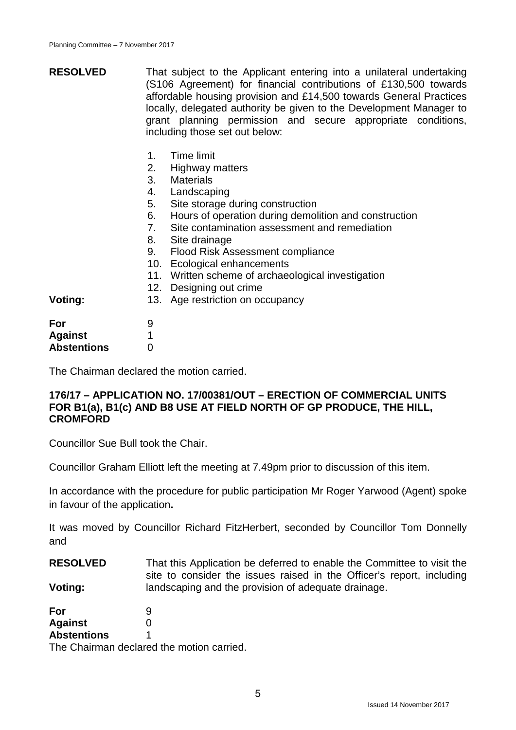- **RESOLVED** That subject to the Applicant entering into a unilateral undertaking (S106 Agreement) for financial contributions of £130,500 towards affordable housing provision and £14,500 towards General Practices locally, delegated authority be given to the Development Manager to grant planning permission and secure appropriate conditions, including those set out below:
	- 1. Time limit
	- 2. Highway matters
	- 3. Materials
	- 4. Landscaping
	- 5. Site storage during construction
	- 6. Hours of operation during demolition and construction
	- 7. Site contamination assessment and remediation
	- 8. Site drainage
	- 9. Flood Risk Assessment compliance
	- 10. Ecological enhancements
	- 11. Written scheme of archaeological investigation
	- 12. Designing out crime
	- 13. Age restriction on occupancy

| For                | 9 |
|--------------------|---|
| <b>Against</b>     |   |
| <b>Abstentions</b> | O |

**Voting:**

The Chairman declared the motion carried.

#### **176/17 – APPLICATION NO. 17/00381/OUT – ERECTION OF COMMERCIAL UNITS FOR B1(a), B1(c) AND B8 USE AT FIELD NORTH OF GP PRODUCE, THE HILL, CROMFORD**

Councillor Sue Bull took the Chair.

Councillor Graham Elliott left the meeting at 7.49pm prior to discussion of this item.

In accordance with the procedure for public participation Mr Roger Yarwood (Agent) spoke in favour of the application**.**

It was moved by Councillor Richard FitzHerbert, seconded by Councillor Tom Donnelly and

**RESOLVED Voting:** That this Application be deferred to enable the Committee to visit the site to consider the issues raised in the Officer's report, including landscaping and the provision of adequate drainage.

**For Against Abstentions** 9  $\Omega$ 1

The Chairman declared the motion carried.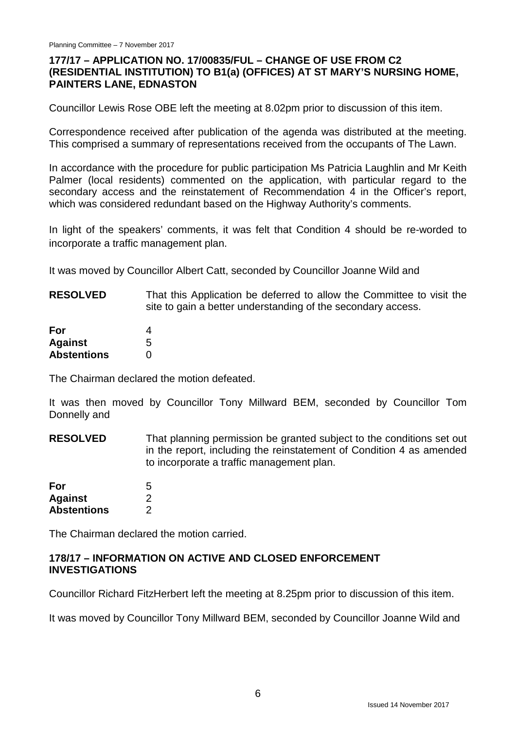## **177/17 – APPLICATION NO. 17/00835/FUL – CHANGE OF USE FROM C2 (RESIDENTIAL INSTITUTION) TO B1(a) (OFFICES) AT ST MARY'S NURSING HOME, PAINTERS LANE, EDNASTON**

Councillor Lewis Rose OBE left the meeting at 8.02pm prior to discussion of this item.

Correspondence received after publication of the agenda was distributed at the meeting. This comprised a summary of representations received from the occupants of The Lawn.

In accordance with the procedure for public participation Ms Patricia Laughlin and Mr Keith Palmer (local residents) commented on the application, with particular regard to the secondary access and the reinstatement of Recommendation 4 in the Officer's report, which was considered redundant based on the Highway Authority's comments.

In light of the speakers' comments, it was felt that Condition 4 should be re-worded to incorporate a traffic management plan.

It was moved by Councillor Albert Catt, seconded by Councillor Joanne Wild and

**RESOLVED** That this Application be deferred to allow the Committee to visit the site to gain a better understanding of the secondary access.

| For                | 4 |
|--------------------|---|
| <b>Against</b>     | 5 |
| <b>Abstentions</b> | O |

The Chairman declared the motion defeated.

It was then moved by Councillor Tony Millward BEM, seconded by Councillor Tom Donnelly and

**RESOLVED** That planning permission be granted subject to the conditions set out in the report, including the reinstatement of Condition 4 as amended to incorporate a traffic management plan.

| For                | 5 |
|--------------------|---|
| <b>Against</b>     | 2 |
| <b>Abstentions</b> | 2 |

The Chairman declared the motion carried.

#### **178/17 – INFORMATION ON ACTIVE AND CLOSED ENFORCEMENT INVESTIGATIONS**

Councillor Richard FitzHerbert left the meeting at 8.25pm prior to discussion of this item.

It was moved by Councillor Tony Millward BEM, seconded by Councillor Joanne Wild and